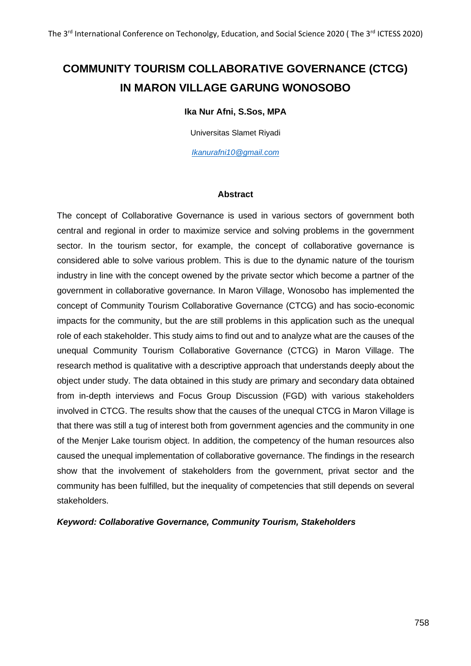# **COMMUNITY TOURISM COLLABORATIVE GOVERNANCE (CTCG) IN MARON VILLAGE GARUNG WONOSOBO**

#### **Ika Nur Afni, S.Sos, MPA**

Universitas Slamet Riyadi

*[Ikanurafni10@gmail.com](mailto:Ikanurafni10@gmail.com)*

#### **Abstract**

The concept of Collaborative Governance is used in various sectors of government both central and regional in order to maximize service and solving problems in the government sector. In the tourism sector, for example, the concept of collaborative governance is considered able to solve various problem. This is due to the dynamic nature of the tourism industry in line with the concept owened by the private sector which become a partner of the government in collaborative governance. In Maron Village, Wonosobo has implemented the concept of Community Tourism Collaborative Governance (CTCG) and has socio-economic impacts for the community, but the are still problems in this application such as the unequal role of each stakeholder. This study aims to find out and to analyze what are the causes of the unequal Community Tourism Collaborative Governance (CTCG) in Maron Village. The research method is qualitative with a descriptive approach that understands deeply about the object under study. The data obtained in this study are primary and secondary data obtained from in-depth interviews and Focus Group Discussion (FGD) with various stakeholders involved in CTCG. The results show that the causes of the unequal CTCG in Maron Village is that there was still a tug of interest both from government agencies and the community in one of the Menjer Lake tourism object. In addition, the competency of the human resources also caused the unequal implementation of collaborative governance. The findings in the research show that the involvement of stakeholders from the government, privat sector and the community has been fulfilled, but the inequality of competencies that still depends on several stakeholders.

#### *Keyword: Collaborative Governance, Community Tourism, Stakeholders*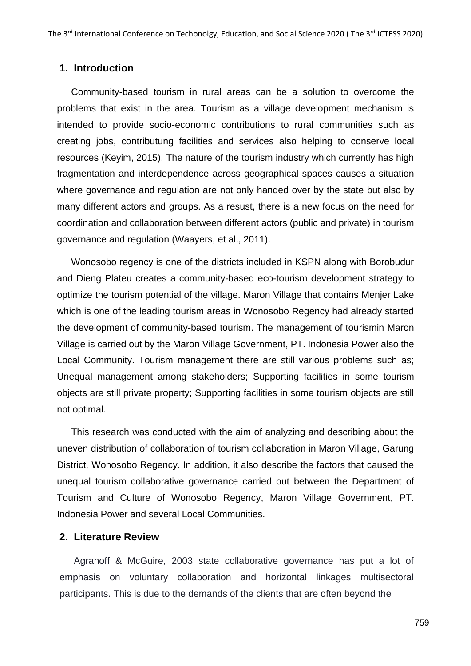#### **1. Introduction**

Community-based tourism in rural areas can be a solution to overcome the problems that exist in the area. Tourism as a village development mechanism is intended to provide socio-economic contributions to rural communities such as creating jobs, contributung facilities and services also helping to conserve local resources (Keyim, 2015). The nature of the tourism industry which currently has high fragmentation and interdependence across geographical spaces causes a situation where governance and regulation are not only handed over by the state but also by many different actors and groups. As a resust, there is a new focus on the need for coordination and collaboration between different actors (public and private) in tourism governance and regulation (Waayers, et al., 2011).

Wonosobo regency is one of the districts included in KSPN along with Borobudur and Dieng Plateu creates a community-based eco-tourism development strategy to optimize the tourism potential of the village. Maron Village that contains Menjer Lake which is one of the leading tourism areas in Wonosobo Regency had already started the development of community-based tourism. The management of tourismin Maron Village is carried out by the Maron Village Government, PT. Indonesia Power also the Local Community. Tourism management there are still various problems such as; Unequal management among stakeholders; Supporting facilities in some tourism objects are still private property; Supporting facilities in some tourism objects are still not optimal.

This research was conducted with the aim of analyzing and describing about the uneven distribution of collaboration of tourism collaboration in Maron Village, Garung District, Wonosobo Regency. In addition, it also describe the factors that caused the unequal tourism collaborative governance carried out between the Department of Tourism and Culture of Wonosobo Regency, Maron Village Government, PT. Indonesia Power and several Local Communities.

#### **2. Literature Review**

Agranoff & McGuire, 2003 state collaborative governance has put a lot of emphasis on voluntary collaboration and horizontal linkages multisectoral participants. This is due to the demands of the clients that are often beyond the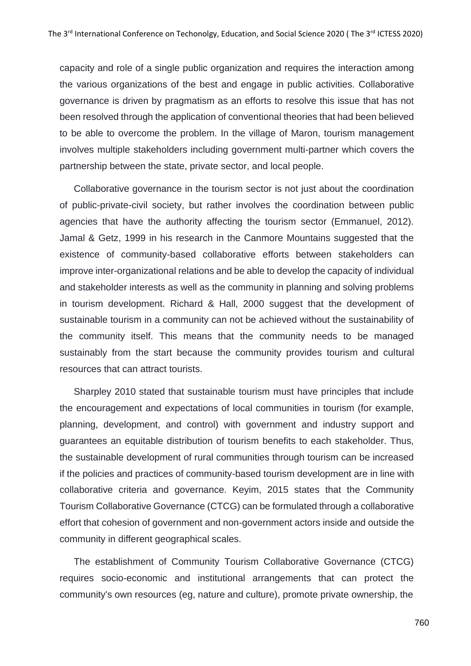capacity and role of a single public organization and requires the interaction among the various organizations of the best and engage in public activities. Collaborative governance is driven by pragmatism as an efforts to resolve this issue that has not been resolved through the application of conventional theories that had been believed to be able to overcome the problem. In the village of Maron, tourism management involves multiple stakeholders including government multi-partner which covers the partnership between the state, private sector, and local people.

Collaborative governance in the tourism sector is not just about the coordination of public-private-civil society, but rather involves the coordination between public agencies that have the authority affecting the tourism sector (Emmanuel, 2012). Jamal & Getz, 1999 in his research in the Canmore Mountains suggested that the existence of community-based collaborative efforts between stakeholders can improve inter-organizational relations and be able to develop the capacity of individual and stakeholder interests as well as the community in planning and solving problems in tourism development. Richard & Hall, 2000 suggest that the development of sustainable tourism in a community can not be achieved without the sustainability of the community itself. This means that the community needs to be managed sustainably from the start because the community provides tourism and cultural resources that can attract tourists.

Sharpley 2010 stated that sustainable tourism must have principles that include the encouragement and expectations of local communities in tourism (for example, planning, development, and control) with government and industry support and guarantees an equitable distribution of tourism benefits to each stakeholder. Thus, the sustainable development of rural communities through tourism can be increased if the policies and practices of community-based tourism development are in line with collaborative criteria and governance. Keyim, 2015 states that the Community Tourism Collaborative Governance (CTCG) can be formulated through a collaborative effort that cohesion of government and non-government actors inside and outside the community in different geographical scales.

The establishment of Community Tourism Collaborative Governance (CTCG) requires socio-economic and institutional arrangements that can protect the community's own resources (eg, nature and culture), promote private ownership, the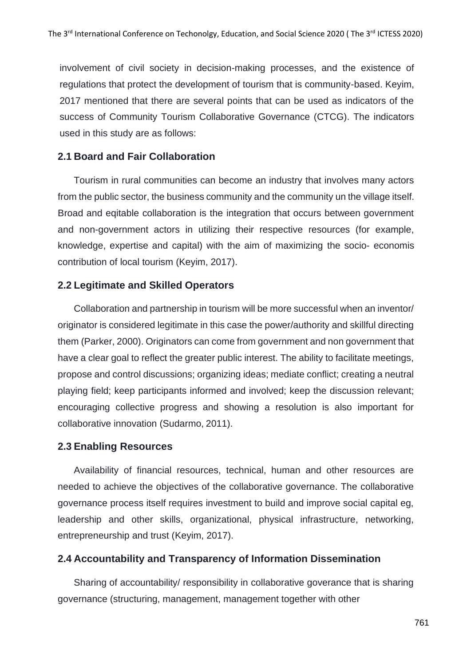involvement of civil society in decision-making processes, and the existence of regulations that protect the development of tourism that is community-based. Keyim, 2017 mentioned that there are several points that can be used as indicators of the success of Community Tourism Collaborative Governance (CTCG). The indicators used in this study are as follows:

# **2.1 Board and Fair Collaboration**

Tourism in rural communities can become an industry that involves many actors from the public sector, the business community and the community un the village itself. Broad and eqitable collaboration is the integration that occurs between government and non-government actors in utilizing their respective resources (for example, knowledge, expertise and capital) with the aim of maximizing the socio- economis contribution of local tourism (Keyim, 2017).

# **2.2 Legitimate and Skilled Operators**

Collaboration and partnership in tourism will be more successful when an inventor/ originator is considered legitimate in this case the power/authority and skillful directing them (Parker, 2000). Originators can come from government and non government that have a clear goal to reflect the greater public interest. The ability to facilitate meetings, propose and control discussions; organizing ideas; mediate conflict; creating a neutral playing field; keep participants informed and involved; keep the discussion relevant; encouraging collective progress and showing a resolution is also important for collaborative innovation (Sudarmo, 2011).

## **2.3 Enabling Resources**

Availability of financial resources, technical, human and other resources are needed to achieve the objectives of the collaborative governance. The collaborative governance process itself requires investment to build and improve social capital eg, leadership and other skills, organizational, physical infrastructure, networking, entrepreneurship and trust (Keyim, 2017).

# **2.4 Accountability and Transparency of Information Dissemination**

Sharing of accountability/ responsibility in collaborative goverance that is sharing governance (structuring, management, management together with other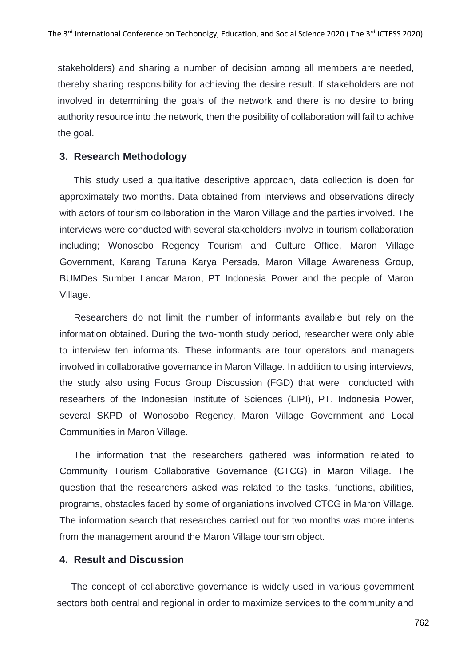stakeholders) and sharing a number of decision among all members are needed, thereby sharing responsibility for achieving the desire result. If stakeholders are not involved in determining the goals of the network and there is no desire to bring authority resource into the network, then the posibility of collaboration will fail to achive the goal.

#### **3. Research Methodology**

This study used a qualitative descriptive approach, data collection is doen for approximately two months. Data obtained from interviews and observations direcly with actors of tourism collaboration in the Maron Village and the parties involved. The interviews were conducted with several stakeholders involve in tourism collaboration including; Wonosobo Regency Tourism and Culture Office, Maron Village Government, Karang Taruna Karya Persada, Maron Village Awareness Group, BUMDes Sumber Lancar Maron, PT Indonesia Power and the people of Maron Village.

Researchers do not limit the number of informants available but rely on the information obtained. During the two-month study period, researcher were only able to interview ten informants. These informants are tour operators and managers involved in collaborative governance in Maron Village. In addition to using interviews, the study also using Focus Group Discussion (FGD) that were conducted with researhers of the Indonesian Institute of Sciences (LIPI), PT. Indonesia Power, several SKPD of Wonosobo Regency, Maron Village Government and Local Communities in Maron Village.

The information that the researchers gathered was information related to Community Tourism Collaborative Governance (CTCG) in Maron Village. The question that the researchers asked was related to the tasks, functions, abilities, programs, obstacles faced by some of organiations involved CTCG in Maron Village. The information search that researches carried out for two months was more intens from the management around the Maron Village tourism object.

## **4. Result and Discussion**

The concept of collaborative governance is widely used in various government sectors both central and regional in order to maximize services to the community and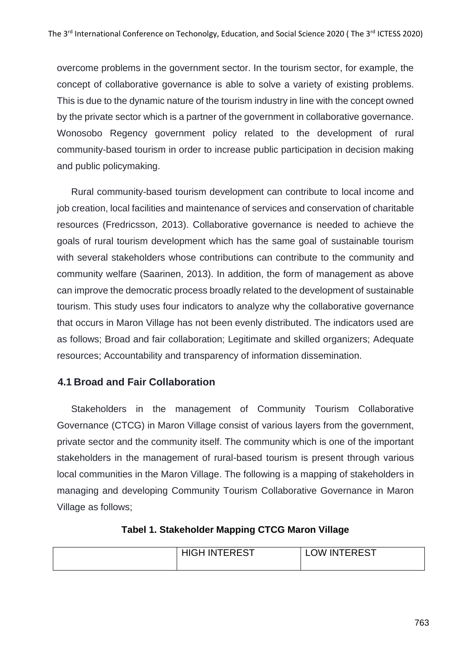overcome problems in the government sector. In the tourism sector, for example, the concept of collaborative governance is able to solve a variety of existing problems. This is due to the dynamic nature of the tourism industry in line with the concept owned by the private sector which is a partner of the government in collaborative governance. Wonosobo Regency government policy related to the development of rural community-based tourism in order to increase public participation in decision making and public policymaking.

Rural community-based tourism development can contribute to local income and job creation, local facilities and maintenance of services and conservation of charitable resources (Fredricsson, 2013). Collaborative governance is needed to achieve the goals of rural tourism development which has the same goal of sustainable tourism with several stakeholders whose contributions can contribute to the community and community welfare (Saarinen, 2013). In addition, the form of management as above can improve the democratic process broadly related to the development of sustainable tourism. This study uses four indicators to analyze why the collaborative governance that occurs in Maron Village has not been evenly distributed. The indicators used are as follows; Broad and fair collaboration; Legitimate and skilled organizers; Adequate resources; Accountability and transparency of information dissemination.

# **4.1 Broad and Fair Collaboration**

Stakeholders in the management of Community Tourism Collaborative Governance (CTCG) in Maron Village consist of various layers from the government, private sector and the community itself. The community which is one of the important stakeholders in the management of rural-based tourism is present through various local communities in the Maron Village. The following is a mapping of stakeholders in managing and developing Community Tourism Collaborative Governance in Maron Village as follows;

## **Tabel 1. Stakeholder Mapping CTCG Maron Village**

|  | <b>HIGH INTEREST</b> | <b>LOW INTEREST</b> |
|--|----------------------|---------------------|
|--|----------------------|---------------------|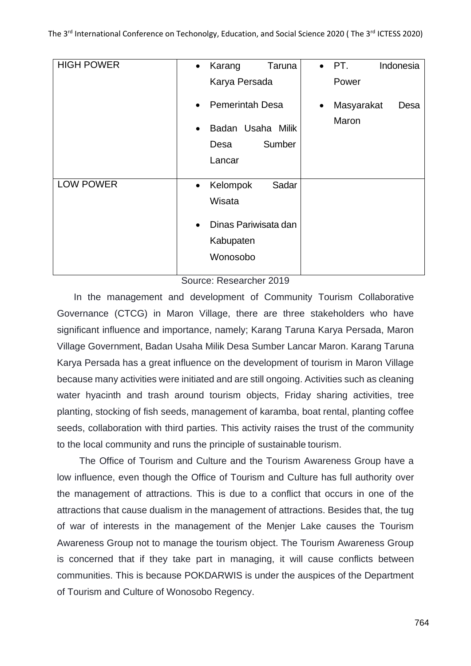| <b>HIGH POWER</b> | Karang<br>Taruna<br>$\bullet$<br>Karya Persada                                                         | $\bullet$ PT.<br>Indonesia<br>Power      |
|-------------------|--------------------------------------------------------------------------------------------------------|------------------------------------------|
|                   | <b>Pemerintah Desa</b><br>$\bullet$<br>Badan Usaha Milik<br>$\bullet$<br>Sumber<br>Desa<br>Lancar      | Masyarakat<br>Desa<br>$\bullet$<br>Maron |
| <b>LOW POWER</b>  | Kelompok<br>Sadar<br>$\bullet$<br>Wisata<br>Dinas Pariwisata dan<br>$\bullet$<br>Kabupaten<br>Wonosobo |                                          |

Source: Researcher 2019

In the management and development of Community Tourism Collaborative Governance (CTCG) in Maron Village, there are three stakeholders who have significant influence and importance, namely; Karang Taruna Karya Persada, Maron Village Government, Badan Usaha Milik Desa Sumber Lancar Maron. Karang Taruna Karya Persada has a great influence on the development of tourism in Maron Village because many activities were initiated and are still ongoing. Activities such as cleaning water hyacinth and trash around tourism objects, Friday sharing activities, tree planting, stocking of fish seeds, management of karamba, boat rental, planting coffee seeds, collaboration with third parties. This activity raises the trust of the community to the local community and runs the principle of sustainable tourism.

The Office of Tourism and Culture and the Tourism Awareness Group have a low influence, even though the Office of Tourism and Culture has full authority over the management of attractions. This is due to a conflict that occurs in one of the attractions that cause dualism in the management of attractions. Besides that, the tug of war of interests in the management of the Menjer Lake causes the Tourism Awareness Group not to manage the tourism object. The Tourism Awareness Group is concerned that if they take part in managing, it will cause conflicts between communities. This is because POKDARWIS is under the auspices of the Department of Tourism and Culture of Wonosobo Regency.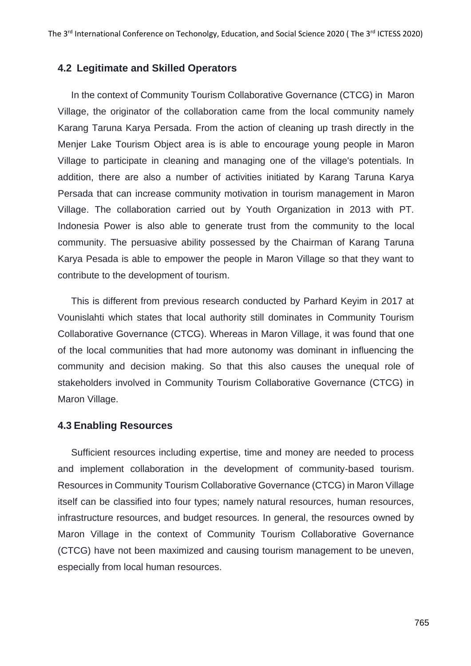#### **4.2 Legitimate and Skilled Operators**

In the context of Community Tourism Collaborative Governance (CTCG) in Maron Village, the originator of the collaboration came from the local community namely Karang Taruna Karya Persada. From the action of cleaning up trash directly in the Menjer Lake Tourism Object area is is able to encourage young people in Maron Village to participate in cleaning and managing one of the village's potentials. In addition, there are also a number of activities initiated by Karang Taruna Karya Persada that can increase community motivation in tourism management in Maron Village. The collaboration carried out by Youth Organization in 2013 with PT. Indonesia Power is also able to generate trust from the community to the local community. The persuasive ability possessed by the Chairman of Karang Taruna Karya Pesada is able to empower the people in Maron Village so that they want to contribute to the development of tourism.

This is different from previous research conducted by Parhard Keyim in 2017 at Vounislahti which states that local authority still dominates in Community Tourism Collaborative Governance (CTCG). Whereas in Maron Village, it was found that one of the local communities that had more autonomy was dominant in influencing the community and decision making. So that this also causes the unequal role of stakeholders involved in Community Tourism Collaborative Governance (CTCG) in Maron Village.

#### **4.3 Enabling Resources**

Sufficient resources including expertise, time and money are needed to process and implement collaboration in the development of community-based tourism. Resources in Community Tourism Collaborative Governance (CTCG) in Maron Village itself can be classified into four types; namely natural resources, human resources, infrastructure resources, and budget resources. In general, the resources owned by Maron Village in the context of Community Tourism Collaborative Governance (CTCG) have not been maximized and causing tourism management to be uneven, especially from local human resources.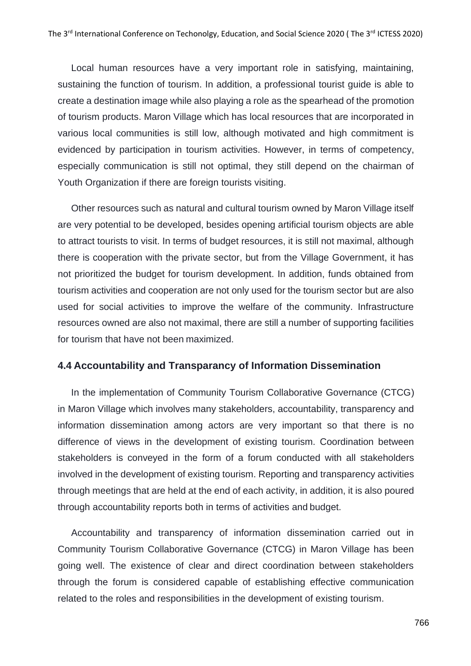Local human resources have a very important role in satisfying, maintaining, sustaining the function of tourism. In addition, a professional tourist guide is able to create a destination image while also playing a role as the spearhead of the promotion of tourism products. Maron Village which has local resources that are incorporated in various local communities is still low, although motivated and high commitment is evidenced by participation in tourism activities. However, in terms of competency, especially communication is still not optimal, they still depend on the chairman of Youth Organization if there are foreign tourists visiting.

Other resources such as natural and cultural tourism owned by Maron Village itself are very potential to be developed, besides opening artificial tourism objects are able to attract tourists to visit. In terms of budget resources, it is still not maximal, although there is cooperation with the private sector, but from the Village Government, it has not prioritized the budget for tourism development. In addition, funds obtained from tourism activities and cooperation are not only used for the tourism sector but are also used for social activities to improve the welfare of the community. Infrastructure resources owned are also not maximal, there are still a number of supporting facilities for tourism that have not been maximized.

## **4.4 Accountability and Transparancy of Information Dissemination**

In the implementation of Community Tourism Collaborative Governance (CTCG) in Maron Village which involves many stakeholders, accountability, transparency and information dissemination among actors are very important so that there is no difference of views in the development of existing tourism. Coordination between stakeholders is conveyed in the form of a forum conducted with all stakeholders involved in the development of existing tourism. Reporting and transparency activities through meetings that are held at the end of each activity, in addition, it is also poured through accountability reports both in terms of activities and budget.

Accountability and transparency of information dissemination carried out in Community Tourism Collaborative Governance (CTCG) in Maron Village has been going well. The existence of clear and direct coordination between stakeholders through the forum is considered capable of establishing effective communication related to the roles and responsibilities in the development of existing tourism.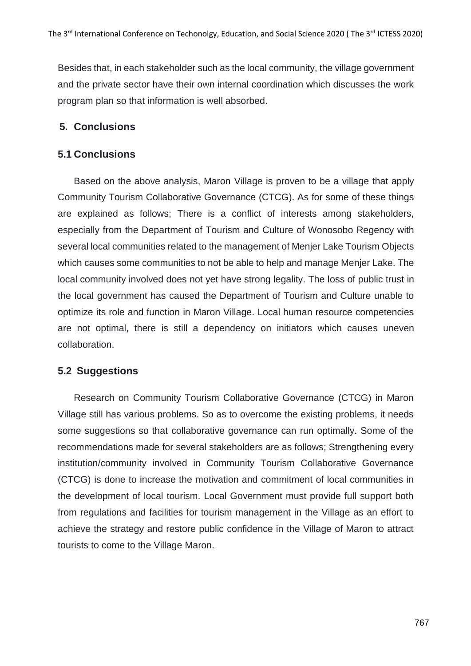Besides that, in each stakeholder such as the local community, the village government and the private sector have their own internal coordination which discusses the work program plan so that information is well absorbed.

# **5. Conclusions**

# **5.1 Conclusions**

Based on the above analysis, Maron Village is proven to be a village that apply Community Tourism Collaborative Governance (CTCG). As for some of these things are explained as follows; There is a conflict of interests among stakeholders, especially from the Department of Tourism and Culture of Wonosobo Regency with several local communities related to the management of Menjer Lake Tourism Objects which causes some communities to not be able to help and manage Menjer Lake. The local community involved does not yet have strong legality. The loss of public trust in the local government has caused the Department of Tourism and Culture unable to optimize its role and function in Maron Village. Local human resource competencies are not optimal, there is still a dependency on initiators which causes uneven collaboration.

# **5.2 Suggestions**

Research on Community Tourism Collaborative Governance (CTCG) in Maron Village still has various problems. So as to overcome the existing problems, it needs some suggestions so that collaborative governance can run optimally. Some of the recommendations made for several stakeholders are as follows; Strengthening every institution/community involved in Community Tourism Collaborative Governance (CTCG) is done to increase the motivation and commitment of local communities in the development of local tourism. Local Government must provide full support both from regulations and facilities for tourism management in the Village as an effort to achieve the strategy and restore public confidence in the Village of Maron to attract tourists to come to the Village Maron.